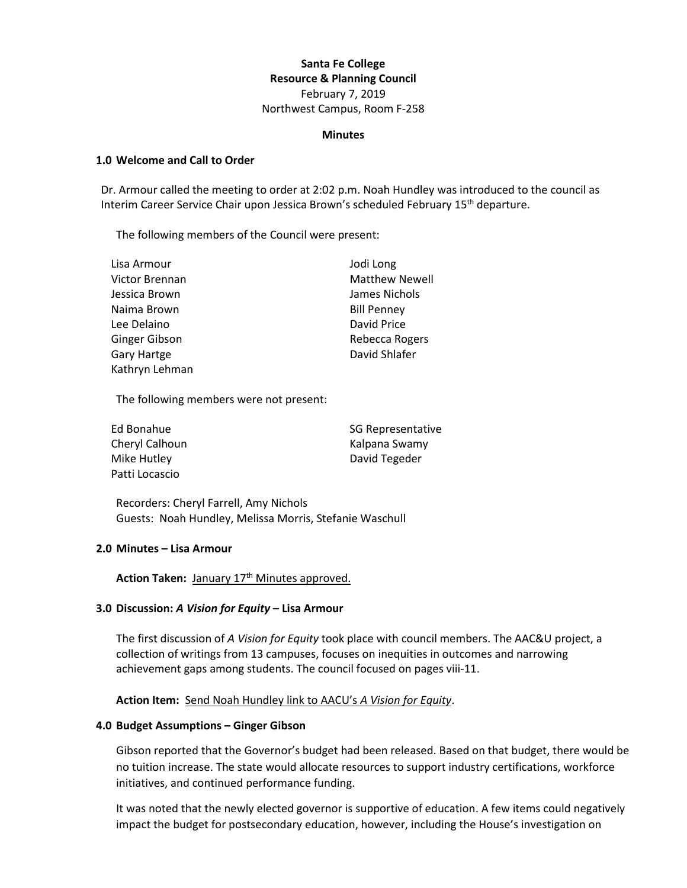# **Santa Fe College Resource & Planning Council** February 7, 2019 Northwest Campus, Room F-258

#### **Minutes**

#### **1.0 Welcome and Call to Order**

Dr. Armour called the meeting to order at 2:02 p.m. Noah Hundley was introduced to the council as Interim Career Service Chair upon Jessica Brown's scheduled February 15<sup>th</sup> departure.

The following members of the Council were present:

| Lisa Armour    | Jodi Long             |
|----------------|-----------------------|
| Victor Brennan | <b>Matthew Newell</b> |
| Jessica Brown  | James Nichols         |
| Naima Brown    | <b>Bill Penney</b>    |
| Lee Delaino    | David Price           |
| Ginger Gibson  | Rebecca Rogers        |
| Gary Hartge    | David Shlafer         |
| Kathryn Lehman |                       |

The following members were not present:

| Ed Bonahue     | <b>SG Representative</b> |
|----------------|--------------------------|
| Cheryl Calhoun | Kalpana Swamy            |
| Mike Hutley    | David Tegeder            |
| Patti Locascio |                          |

Recorders: Cheryl Farrell, Amy Nichols Guests: Noah Hundley, Melissa Morris, Stefanie Waschull

#### **2.0 Minutes – Lisa Armour**

Action Taken: January 17<sup>th</sup> Minutes approved.

#### **3.0 Discussion:** *A Vision for Equity* **– Lisa Armour**

The first discussion of *A Vision for Equity* took place with council members. The AAC&U project, a collection of writings from 13 campuses, focuses on inequities in outcomes and narrowing achievement gaps among students. The council focused on pages viii-11.

### **Action Item:** Send Noah Hundley link to AACU's *A Vision for Equity*.

#### **4.0 Budget Assumptions – Ginger Gibson**

Gibson reported that the Governor's budget had been released. Based on that budget, there would be no tuition increase. The state would allocate resources to support industry certifications, workforce initiatives, and continued performance funding.

It was noted that the newly elected governor is supportive of education. A few items could negatively impact the budget for postsecondary education, however, including the House's investigation on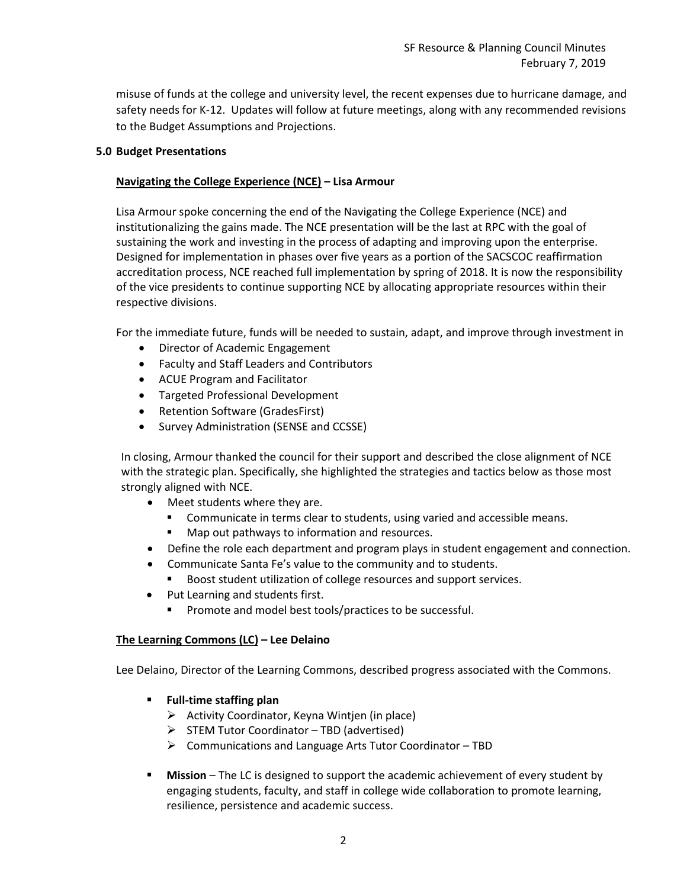misuse of funds at the college and university level, the recent expenses due to hurricane damage, and safety needs for K-12. Updates will follow at future meetings, along with any recommended revisions to the Budget Assumptions and Projections.

## **5.0 Budget Presentations**

## **Navigating the College Experience (NCE) – Lisa Armour**

Lisa Armour spoke concerning the end of the Navigating the College Experience (NCE) and institutionalizing the gains made. The NCE presentation will be the last at RPC with the goal of sustaining the work and investing in the process of adapting and improving upon the enterprise. Designed for implementation in phases over five years as a portion of the SACSCOC reaffirmation accreditation process, NCE reached full implementation by spring of 2018. It is now the responsibility of the vice presidents to continue supporting NCE by allocating appropriate resources within their respective divisions.

For the immediate future, funds will be needed to sustain, adapt, and improve through investment in

- Director of Academic Engagement
- Faculty and Staff Leaders and Contributors
- ACUE Program and Facilitator
- Targeted Professional Development
- Retention Software (GradesFirst)
- Survey Administration (SENSE and CCSSE)

In closing, Armour thanked the council for their support and described the close alignment of NCE with the strategic plan. Specifically, she highlighted the strategies and tactics below as those most strongly aligned with NCE.

- Meet students where they are.
	- Communicate in terms clear to students, using varied and accessible means.
	- Map out pathways to information and resources.
- Define the role each department and program plays in student engagement and connection.
- Communicate Santa Fe's value to the community and to students.
	- Boost student utilization of college resources and support services.
- Put Learning and students first.
	- Promote and model best tools/practices to be successful.

### **The Learning Commons (LC) – Lee Delaino**

Lee Delaino, Director of the Learning Commons, described progress associated with the Commons.

- **Full-time staffing plan**
	- ➢ Activity Coordinator, Keyna Wintjen (in place)
	- ➢ STEM Tutor Coordinator TBD (advertised)
	- ➢ Communications and Language Arts Tutor Coordinator TBD
- **Mission** The LC is designed to support the academic achievement of every student by engaging students, faculty, and staff in college wide collaboration to promote learning, resilience, persistence and academic success.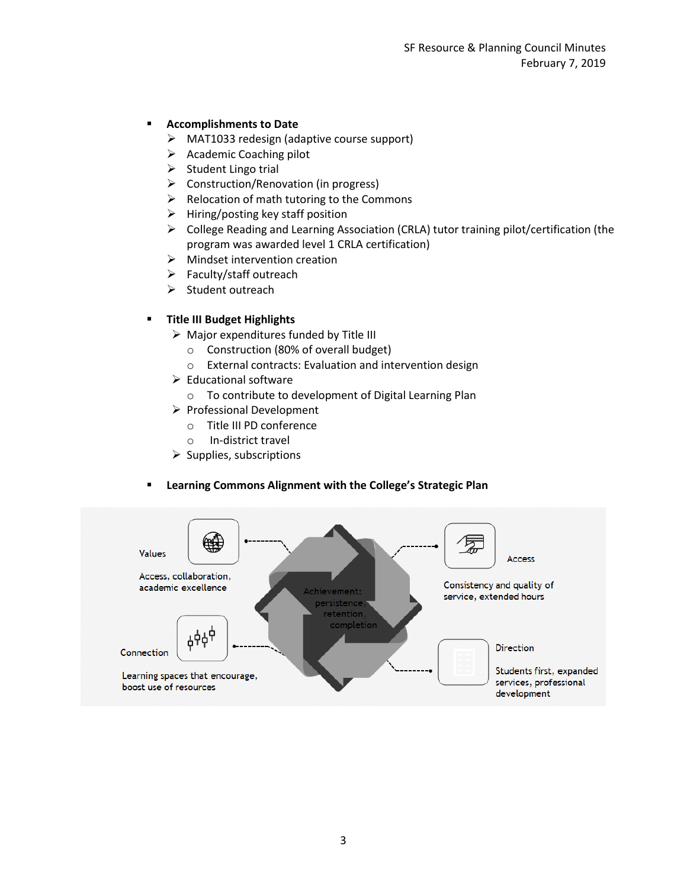# **Accomplishments to Date**

- ➢ MAT1033 redesign (adaptive course support)
- ➢ Academic Coaching pilot
- $\triangleright$  Student Lingo trial
- ➢ Construction/Renovation (in progress)
- ➢ Relocation of math tutoring to the Commons
- $\triangleright$  Hiring/posting key staff position
- ➢ College Reading and Learning Association (CRLA) tutor training pilot/certification (the program was awarded level 1 CRLA certification)
- ➢ Mindset intervention creation
- ➢ Faculty/staff outreach
- ➢ Student outreach

## ▪ **Title III Budget Highlights**

- $\triangleright$  Major expenditures funded by Title III
	- o Construction (80% of overall budget)
	- o External contracts: Evaluation and intervention design
- $\triangleright$  Educational software
	- o To contribute to development of Digital Learning Plan
- ➢ Professional Development
	- o Title III PD conference
	- o In-district travel
- $\triangleright$  Supplies, subscriptions

### ▪ **Learning Commons Alignment with the College's Strategic Plan**